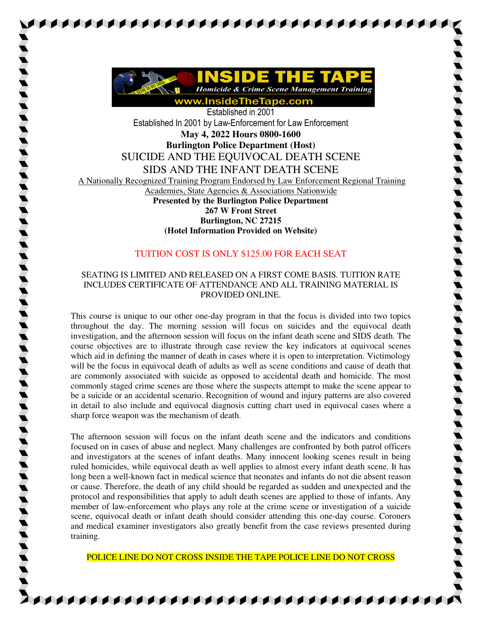

AAAAAAAAAAAAAAAAAAAAAAA

Established in 2001 Established In 2001 by Law-Enforcement for Law Enforcement **May 4, 2022 Hours 0800-1600 Burlington Police Department (Host)**  SUICIDE AND THE EQUIVOCAL DEATH SCENE SIDS AND THE INFANT DEATH SCENE A Nationally Recognized Training Program Endorsed by Law Enforcement Regional Training Academies, State Agencies & Associations Nationwide **Presented by the Burlington Police Department 267 W Front Street Burlington, NC 27215 (Hotel Information Provided on Website)**

## TUITION COST IS ONLY \$125.00 FOR EACH SEAT

## SEATING IS LIMITED AND RELEASED ON A FIRST COME BASIS. TUITION RATE INCLUDES CERTIFICATE OF ATTENDANCE AND ALL TRAINING MATERIAL IS PROVIDED ONLINE.

This course is unique to our other one-day program in that the focus is divided into two topics throughout the day. The morning session will focus on suicides and the equivocal death investigation, and the afternoon session will focus on the infant death scene and SIDS death. The course objectives are to illustrate through case review the key indicators at equivocal scenes which aid in defining the manner of death in cases where it is open to interpretation. Victimology will be the focus in equivocal death of adults as well as scene conditions and cause of death that are commonly associated with suicide as opposed to accidental death and homicide. The most commonly staged crime scenes are those where the suspects attempt to make the scene appear to be a suicide or an accidental scenario. Recognition of wound and injury patterns are also covered in detail to also include and equivocal diagnosis cutting chart used in equivocal cases where a sharp force weapon was the mechanism of death.

The afternoon session will focus on the infant death scene and the indicators and conditions focused on in cases of abuse and neglect. Many challenges are confronted by both patrol officers and investigators at the scenes of infant deaths. Many innocent looking scenes result in being ruled homicides, while equivocal death as well applies to almost every infant death scene. It has long been a well-known fact in medical science that neonates and infants do not die absent reason or cause. Therefore, the death of any child should be regarded as sudden and unexpected and the protocol and responsibilities that apply to adult death scenes are applied to those of infants. Any member of law-enforcement who plays any role at the crime scene or investigation of a suicide scene, equivocal death or infant death should consider attending this one-day course. Coroners and medical examiner investigators also greatly benefit from the case reviews presented during training.

POLICE LINE DO NOT CROSS INSIDE THE TAPE POLICE LINE DO NOT CROSS

A A A A A A A A A A A A A A A A A A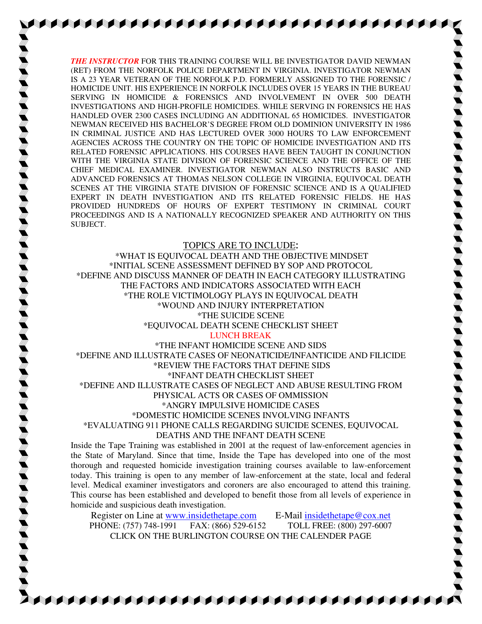*THE INSTRUCTOR* FOR THIS TRAINING COURSE WILL BE INVESTIGATOR DAVID NEWMAN (RET) FROM THE NORFOLK POLICE DEPARTMENT IN VIRGINIA. INVESTIGATOR NEWMAN IS A 23 YEAR VETERAN OF THE NORFOLK P.D. FORMERLY ASSIGNED TO THE FORENSIC / HOMICIDE UNIT. HIS EXPERIENCE IN NORFOLK INCLUDES OVER 15 YEARS IN THE BUREAU SERVING IN HOMICIDE & FORENSICS AND INVOLVEMENT IN OVER 500 DEATH INVESTIGATIONS AND HIGH-PROFILE HOMICIDES. WHILE SERVING IN FORENSICS HE HAS HANDLED OVER 2300 CASES INCLUDING AN ADDITIONAL 65 HOMICIDES. INVESTIGATOR NEWMAN RECEIVED HIS BACHELOR'S DEGREE FROM OLD DOMINION UNIVERSITY IN 1986 IN CRIMINAL JUSTICE AND HAS LECTURED OVER 3000 HOURS TO LAW ENFORCEMENT AGENCIES ACROSS THE COUNTRY ON THE TOPIC OF HOMICIDE INVESTIGATION AND ITS RELATED FORENSIC APPLICATIONS. HIS COURSES HAVE BEEN TAUGHT IN CONJUNCTION WITH THE VIRGINIA STATE DIVISION OF FORENSIC SCIENCE AND THE OFFICE OF THE CHIEF MEDICAL EXAMINER. INVESTIGATOR NEWMAN ALSO INSTRUCTS BASIC AND ADVANCED FORENSICS AT THOMAS NELSON COLLEGE IN VIRGINIA, EQUIVOCAL DEATH SCENES AT THE VIRGINIA STATE DIVISION OF FORENSIC SCIENCE AND IS A QUALIFIED EXPERT IN DEATH INVESTIGATION AND ITS RELATED FORENSIC FIELDS. HE HAS PROVIDED HUNDREDS OF HOURS OF EXPERT TESTIMONY IN CRIMINAL COURT PROCEEDINGS AND IS A NATIONALLY RECOGNIZED SPEAKER AND AUTHORITY ON THIS SUBJECT.

## TOPICS ARE TO INCLUDE**:**

\*WHAT IS EQUIVOCAL DEATH AND THE OBJECTIVE MINDSET \*INITIAL SCENE ASSESSMENT DEFINED BY SOP AND PROTOCOL \*DEFINE AND DISCUSS MANNER OF DEATH IN EACH CATEGORY ILLUSTRATING THE FACTORS AND INDICATORS ASSOCIATED WITH EACH \*THE ROLE VICTIMOLOGY PLAYS IN EQUIVOCAL DEATH \*WOUND AND INJURY INTERPRETATION \*THE SUICIDE SCENE \*EQUIVOCAL DEATH SCENE CHECKLIST SHEET

## LUNCH BREAK

\*THE INFANT HOMICIDE SCENE AND SIDS \*DEFINE AND ILLUSTRATE CASES OF NEONATICIDE/INFANTICIDE AND FILICIDE \*REVIEW THE FACTORS THAT DEFINE SIDS \*INFANT DEATH CHECKLIST SHEET \*DEFINE AND ILLUSTRATE CASES OF NEGLECT AND ABUSE RESULTING FROM PHYSICAL ACTS OR CASES OF OMMISSION \*ANGRY IMPULSIVE HOMICIDE CASES \*DOMESTIC HOMICIDE SCENES INVOLVING INFANTS \*EVALUATING 911 PHONE CALLS REGARDING SUICIDE SCENES, EQUIVOCAL DEATHS AND THE INFANT DEATH SCENE

Inside the Tape Training was established in 2001 at the request of law-enforcement agencies in the State of Maryland. Since that time, Inside the Tape has developed into one of the most thorough and requested homicide investigation training courses available to law-enforcement today. This training is open to any member of law-enforcement at the state, local and federal level. Medical examiner investigators and coroners are also encouraged to attend this training. This course has been established and developed to benefit those from all levels of experience in homicide and suspicious death investigation.

Register on Line at www.insidethetape.com E-Mail insidethetape@cox.net PHONE: (757) 748-1991 FAX: (866) 529-6152 TOLL FREE: (800) 297-6007 CLICK ON THE BURLINGTON COURSE ON THE CALENDER PAGE

**SARA ALAH SALAH SALAH SALAH SALAH SALAH SAL**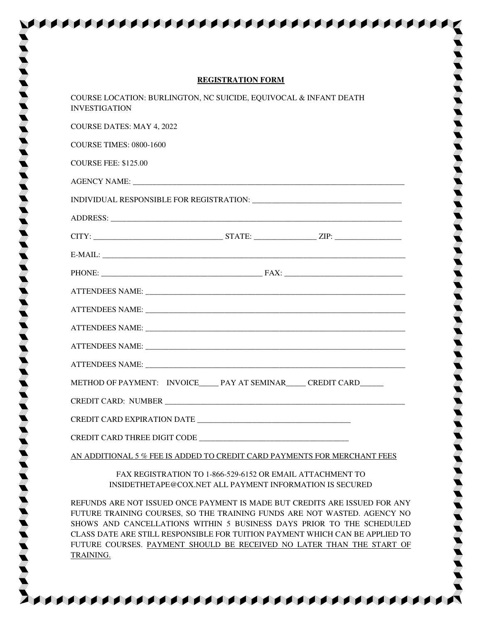| <b>REGISTRATION FORM</b>                                                                  |
|-------------------------------------------------------------------------------------------|
| COURSE LOCATION: BURLINGTON, NC SUICIDE, EQUIVOCAL & INFANT DEATH<br><b>INVESTIGATION</b> |
| <b>COURSE DATES: MAY 4, 2022</b>                                                          |
| <b>COURSE TIMES: 0800-1600</b>                                                            |
| <b>COURSE FEE: \$125.00</b>                                                               |
|                                                                                           |
|                                                                                           |
|                                                                                           |
|                                                                                           |
|                                                                                           |
|                                                                                           |
|                                                                                           |
|                                                                                           |
|                                                                                           |
|                                                                                           |
|                                                                                           |
| METHOD OF PAYMENT: INVOICE_____ PAY AT SEMINAR_____ CREDIT CARD______                     |
|                                                                                           |
|                                                                                           |
|                                                                                           |
| AN ADDITIONAL 5 % FEE IS ADDED TO CREDIT CARD PAYMENTS FOR MERCHANT FEES                  |

EN KANAN KANAN KANAN KANAN KANAN KANAN KANAN

FAX REGISTRATION TO 1-866-529-6152 OR EMAIL ATTACHMENT TO INSIDETHETAPE@COX.NET ALL PAYMENT INFORMATION IS SECURED

REFUNDS ARE NOT ISSUED ONCE PAYMENT IS MADE BUT CREDITS ARE ISSUED FOR ANY FUTURE TRAINING COURSES, SO THE TRAINING FUNDS ARE NOT WASTED. AGENCY NO SHOWS AND CANCELLATIONS WITHIN 5 BUSINESS DAYS PRIOR TO THE SCHEDULED CLASS DATE ARE STILL RESPONSIBLE FOR TUITION PAYMENT WHICH CAN BE APPLIED TO FUTURE COURSES. PAYMENT SHOULD BE RECEIVED NO LATER THAN THE START OF TRAINING.